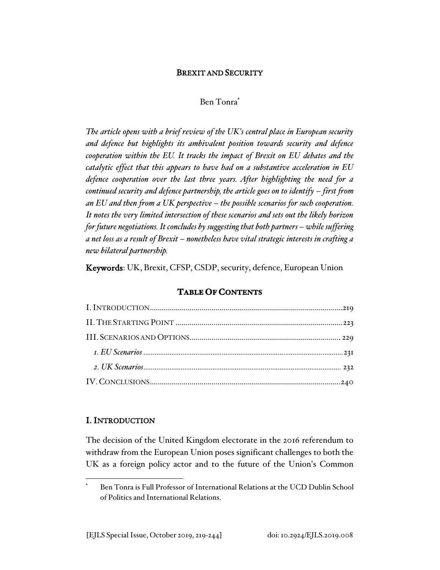# BREXIT AND SECURITY

### Ben Tonra\*

*The article opens with a brief review of the UK's central place in European security and defence but highlights its ambivalent position towards security and defence cooperation within the EU. It tracks the impact of Brexit on EU debates and the catalytic effect that this appears to have had on a substantive acceleration in EU defence cooperation over the last three years. After highlighting the need for a continued security and defence partnership, the article goes on to identify – first from an EU and then from a UK perspective – the possible scenarios for such cooperation. It notes the very limited intersection of these scenarios and sets out the likely horizon for future negotiations. It concludes by suggesting that both partners – while suffering a net loss as a result of Brexit – nonetheless have vital strategic interests in crafting a new bilateral partnership.* 

Keywords: UK, Brexit, CFSP, CSDP, security, defence, European Union

# **TABLE OF CONTENTS**

## I. INTRODUCTION

The decision of the United Kingdom electorate in the 2016 referendum to withdraw from the European Union poses significant challenges to both the UK as a foreign policy actor and to the future of the Union's Common

Ben Tonra is Full Professor of International Relations at the UCD Dublin School of Politics and International Relations.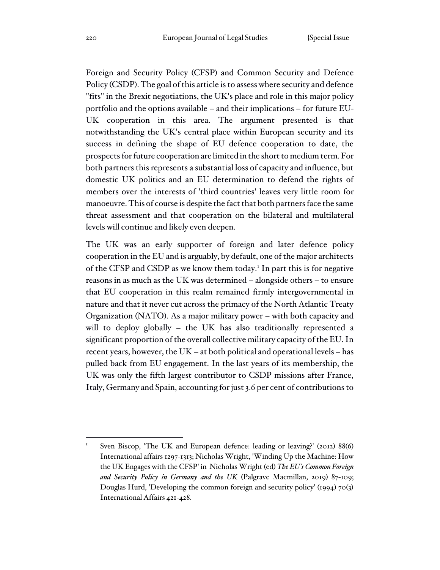Foreign and Security Policy (CFSP) and Common Security and Defence Policy (CSDP). The goal of this article is to assess where security and defence "fits" in the Brexit negotiations, the UK's place and role in this major policy portfolio and the options available – and their implications – for future EU-UK cooperation in this area. The argument presented is that notwithstanding the UK's central place within European security and its success in defining the shape of EU defence cooperation to date, the prospects for future cooperation are limited in the short to medium term. For both partners this represents a substantial loss of capacity and influence, but domestic UK politics and an EU determination to defend the rights of members over the interests of 'third countries' leaves very little room for manoeuvre. This of course is despite the fact that both partners face the same threat assessment and that cooperation on the bilateral and multilateral levels will continue and likely even deepen.

The UK was an early supporter of foreign and later defence policy cooperation in the EU and is arguably, by default, one of the major architects of the CFSP and CSDP as we know them today.<sup>1</sup> In part this is for negative reasons in as much as the UK was determined – alongside others – to ensure that EU cooperation in this realm remained firmly intergovernmental in nature and that it never cut across the primacy of the North Atlantic Treaty Organization (NATO). As a major military power – with both capacity and will to deploy globally – the UK has also traditionally represented a significant proportion of the overall collective military capacity of the EU. In recent years, however, the UK – at both political and operational levels – has pulled back from EU engagement. In the last years of its membership, the UK was only the fifth largest contributor to CSDP missions after France, Italy, Germany and Spain, accounting for just 3.6 per cent of contributions to

Sven Biscop, 'The UK and European defence: leading or leaving?' (2012) 88(6) International affairs 1297-1313; Nicholas Wright, 'Winding Up the Machine: How the UK Engages with the CFSP' in Nicholas Wright (ed) *The EU's Common Foreign and Security Policy in Germany and the UK* (Palgrave Macmillan, 2019) 87-109; Douglas Hurd, 'Developing the common foreign and security policy' (1994) 70(3) International Affairs 421-428.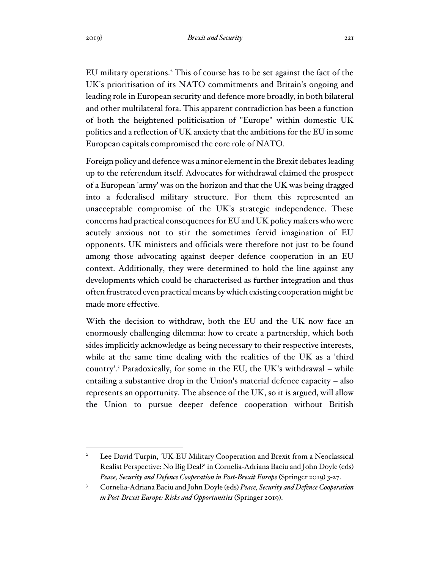EU military operations.<sup>2</sup> This of course has to be set against the fact of the UK's prioritisation of its NATO commitments and Britain's ongoing and leading role in European security and defence more broadly, in both bilateral and other multilateral fora. This apparent contradiction has been a function of both the heightened politicisation of "Europe" within domestic UK politics and a reflection of UK anxiety that the ambitions for the EU in some European capitals compromised the core role of NATO.

Foreign policy and defence was a minor element in the Brexit debates leading up to the referendum itself. Advocates for withdrawal claimed the prospect of a European 'army' was on the horizon and that the UK was being dragged into a federalised military structure. For them this represented an unacceptable compromise of the UK's strategic independence. These concerns had practical consequences for EU and UK policy makers who were acutely anxious not to stir the sometimes fervid imagination of EU opponents. UK ministers and officials were therefore not just to be found among those advocating against deeper defence cooperation in an EU context. Additionally, they were determined to hold the line against any developments which could be characterised as further integration and thus often frustrated even practical means by which existing cooperation might be made more effective.

With the decision to withdraw, both the EU and the UK now face an enormously challenging dilemma: how to create a partnership, which both sides implicitly acknowledge as being necessary to their respective interests, while at the same time dealing with the realities of the UK as a 'third country'.<sup>3</sup> Paradoxically, for some in the EU, the UK's withdrawal – while entailing a substantive drop in the Union's material defence capacity – also represents an opportunity. The absence of the UK, so it is argued, will allow the Union to pursue deeper defence cooperation without British

Lee David Turpin, 'UK-EU Military Cooperation and Brexit from a Neoclassical Realist Perspective: No Big Deal?' in Cornelia-Adriana Baciu and John Doyle (eds) *Peace, Security and Defence Cooperation in Post-Brexit Europe* (Springer 2019) 3-27.

<sup>3</sup> Cornelia-Adriana Baciu and John Doyle (eds) *Peace, Security and Defence Cooperation in Post-Brexit Europe: Risks and Opportunities* (Springer 2019).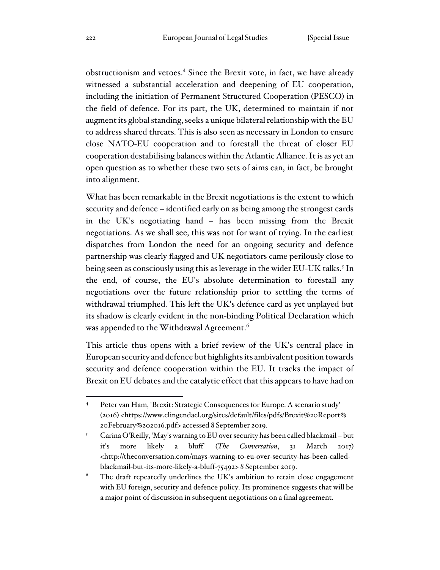obstructionism and vetoes.<sup>4</sup> Since the Brexit vote, in fact, we have already witnessed a substantial acceleration and deepening of EU cooperation, including the initiation of Permanent Structured Cooperation (PESCO) in the field of defence. For its part, the UK, determined to maintain if not augment its global standing, seeks a unique bilateral relationship with the EU to address shared threats. This is also seen as necessary in London to ensure close NATO-EU cooperation and to forestall the threat of closer EU cooperation destabilising balances within the Atlantic Alliance. It is as yet an open question as to whether these two sets of aims can, in fact, be brought into alignment.

What has been remarkable in the Brexit negotiations is the extent to which security and defence – identified early on as being among the strongest cards in the UK's negotiating hand – has been missing from the Brexit negotiations. As we shall see, this was not for want of trying. In the earliest dispatches from London the need for an ongoing security and defence partnership was clearly flagged and UK negotiators came perilously close to being seen as consciously using this as leverage in the wider EU-UK talks.<sup>5</sup> In the end, of course, the EU's absolute determination to forestall any negotiations over the future relationship prior to settling the terms of withdrawal triumphed. This left the UK's defence card as yet unplayed but its shadow is clearly evident in the non-binding Political Declaration which was appended to the Withdrawal Agreement.<sup>6</sup>

This article thus opens with a brief review of the UK's central place in European security and defence but highlights its ambivalent position towards security and defence cooperation within the EU. It tracks the impact of Brexit on EU debates and the catalytic effect that this appears to have had on

<sup>4</sup> Peter van Ham, 'Brexit: Strategic Consequences for Europe. A scenario study' (2016) <https://www.clingendael.org/sites/default/files/pdfs/Brexit%20Report% 20February%202016.pdf> accessed 8 September 2019.

<sup>5</sup> Carina O'Reilly, 'May's warning to EU over security has been called blackmail – but it's more likely a bluff' (*The Conversation*, 31 March 2017) <http://theconversation.com/mays-warning-to-eu-over-security-has-been-calledblackmail-but-its-more-likely-a-bluff-75492> 8 September 2019.

 $6$  The draft repeatedly underlines the UK's ambition to retain close engagement with EU foreign, security and defence policy. Its prominence suggests that will be a major point of discussion in subsequent negotiations on a final agreement.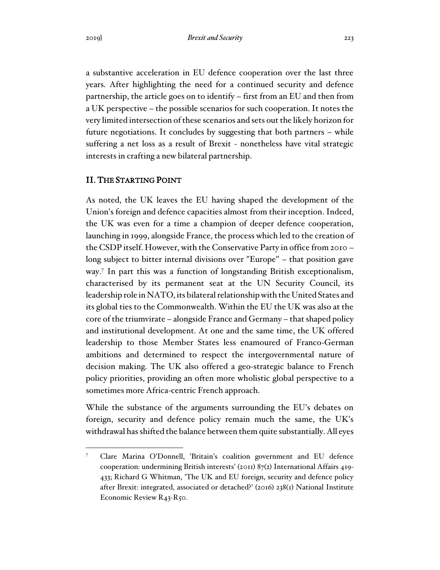a substantive acceleration in EU defence cooperation over the last three years. After highlighting the need for a continued security and defence partnership, the article goes on to identify – first from an EU and then from a UK perspective – the possible scenarios for such cooperation. It notes the very limited intersection of these scenarios and sets out the likely horizon for future negotiations. It concludes by suggesting that both partners – while suffering a net loss as a result of Brexit - nonetheless have vital strategic interests in crafting a new bilateral partnership.

## II. THE STARTING POINT

As noted, the UK leaves the EU having shaped the development of the Union's foreign and defence capacities almost from their inception. Indeed, the UK was even for a time a champion of deeper defence cooperation, launching in 1999, alongside France, the process which led to the creation of the CSDP itself. However, with the Conservative Party in office from 2010 – long subject to bitter internal divisions over "Europe" – that position gave way.<sup>7</sup> In part this was a function of longstanding British exceptionalism, characterised by its permanent seat at the UN Security Council, its leadership role in NATO, its bilateral relationship with the United States and its global ties to the Commonwealth. Within the EU the UK was also at the core of the triumvirate – alongside France and Germany – that shaped policy and institutional development. At one and the same time, the UK offered leadership to those Member States less enamoured of Franco-German ambitions and determined to respect the intergovernmental nature of decision making. The UK also offered a geo-strategic balance to French policy priorities, providing an often more wholistic global perspective to a sometimes more Africa-centric French approach.

While the substance of the arguments surrounding the EU's debates on foreign, security and defence policy remain much the same, the UK's withdrawal has shifted the balance between them quite substantially. All eyes

<sup>7</sup> Clare Marina O'Donnell, 'Britain's coalition government and EU defence cooperation: undermining British interests' (2011) 87(2) International Affairs 419- 433; Richard G Whitman, 'The UK and EU foreign, security and defence policy after Brexit: integrated, associated or detached?' (2016) 238(1) National Institute Economic Review R43-R50.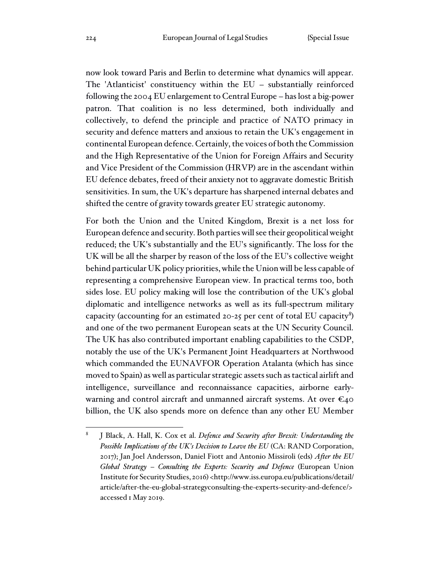now look toward Paris and Berlin to determine what dynamics will appear. The 'Atlanticist' constituency within the EU – substantially reinforced following the 2004 EU enlargement to Central Europe – has lost a big-power patron. That coalition is no less determined, both individually and collectively, to defend the principle and practice of NATO primacy in security and defence matters and anxious to retain the UK's engagement in continental European defence. Certainly, the voices of both the Commission and the High Representative of the Union for Foreign Affairs and Security and Vice President of the Commission (HRVP) are in the ascendant within EU defence debates, freed of their anxiety not to aggravate domestic British sensitivities. In sum, the UK's departure has sharpened internal debates and shifted the centre of gravity towards greater EU strategic autonomy.

For both the Union and the United Kingdom, Brexit is a net loss for European defence and security. Both parties will see their geopolitical weight reduced; the UK's substantially and the EU's significantly. The loss for the UK will be all the sharper by reason of the loss of the EU's collective weight behind particular UK policy priorities, while the Union will be less capable of representing a comprehensive European view. In practical terms too, both sides lose. EU policy making will lose the contribution of the UK's global diplomatic and intelligence networks as well as its full-spectrum military capacity (accounting for an estimated 20-25 per cent of total EU capacity $\delta$ ) and one of the two permanent European seats at the UN Security Council. The UK has also contributed important enabling capabilities to the CSDP, notably the use of the UK's Permanent Joint Headquarters at Northwood which commanded the EUNAVFOR Operation Atalanta (which has since moved to Spain) as well as particular strategic assets such as tactical airlift and intelligence, surveillance and reconnaissance capacities, airborne earlywarning and control aircraft and unmanned aircraft systems. At over  $\epsilon_{40}$ billion, the UK also spends more on defence than any other EU Member

<sup>8</sup> J Black, A. Hall, K. Cox et al. *Defence and Security after Brexit: Understanding the Possible Implications of the UK's Decision to Leave the EU* (CA: RAND Corporation, 2017); Jan Joel Andersson, Daniel Fiott and Antonio Missiroli (eds) *After the EU Global Strategy – Consulting the Experts: Security and Defence* (European Union Institute for Security Studies, 2016) <http://www.iss.europa.eu/publications/detail/ article/after-the-eu-global-strategyconsulting-the-experts-security-and-defence/> accessed 1 May 2019.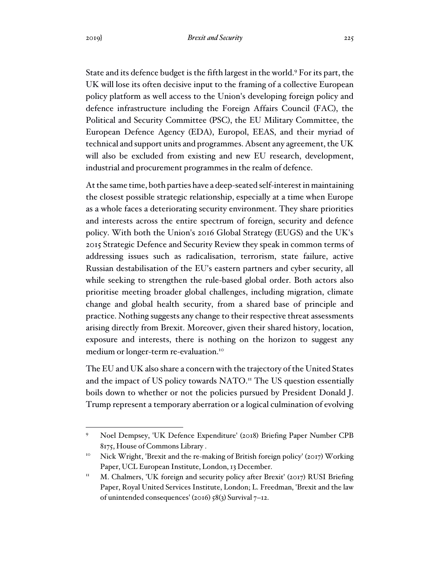State and its defence budget is the fifth largest in the world.<sup>9</sup> For its part, the UK will lose its often decisive input to the framing of a collective European policy platform as well access to the Union's developing foreign policy and defence infrastructure including the Foreign Affairs Council (FAC), the Political and Security Committee (PSC), the EU Military Committee, the European Defence Agency (EDA), Europol, EEAS, and their myriad of technical and support units and programmes. Absent any agreement, the UK will also be excluded from existing and new EU research, development, industrial and procurement programmes in the realm of defence.

At the same time, both parties have a deep-seated self-interest in maintaining the closest possible strategic relationship, especially at a time when Europe as a whole faces a deteriorating security environment. They share priorities and interests across the entire spectrum of foreign, security and defence policy. With both the Union's 2016 Global Strategy (EUGS) and the UK's 2015 Strategic Defence and Security Review they speak in common terms of addressing issues such as radicalisation, terrorism, state failure, active Russian destabilisation of the EU's eastern partners and cyber security, all while seeking to strengthen the rule-based global order. Both actors also prioritise meeting broader global challenges, including migration, climate change and global health security, from a shared base of principle and practice. Nothing suggests any change to their respective threat assessments arising directly from Brexit. Moreover, given their shared history, location, exposure and interests, there is nothing on the horizon to suggest any medium or longer-term re-evaluation.<sup>10</sup>

The EU and UK also share a concern with the trajectory of the United States and the impact of US policy towards NATO.<sup>11</sup> The US question essentially boils down to whether or not the policies pursued by President Donald J. Trump represent a temporary aberration or a logical culmination of evolving

<sup>9</sup> Noel Dempsey, 'UK Defence Expenditure' (2018) Briefing Paper Number CPB 8175, House of Commons Library .

<sup>&</sup>lt;sup>10</sup> Nick Wright, 'Brexit and the re-making of British foreign policy' (2017) Working Paper, UCL European Institute, London, 13 December.

 $11$  M. Chalmers, 'UK foreign and security policy after Brexit' (2017) RUSI Briefing Paper, Royal United Services Institute, London; L. Freedman, 'Brexit and the law of unintended consequences' (2016) 58(3) Survival 7–12.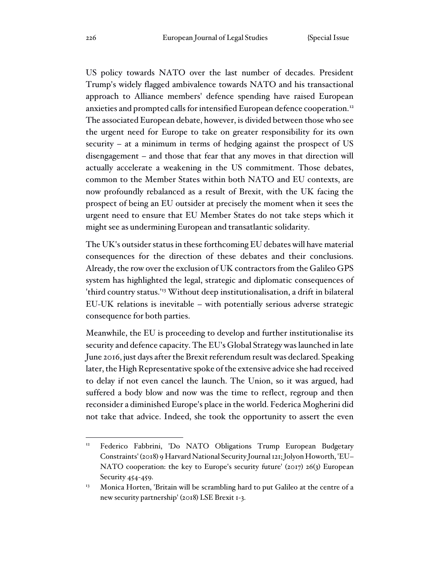US policy towards NATO over the last number of decades. President Trump's widely flagged ambivalence towards NATO and his transactional approach to Alliance members' defence spending have raised European anxieties and prompted calls for intensified European defence cooperation.<sup>12</sup> The associated European debate, however, is divided between those who see the urgent need for Europe to take on greater responsibility for its own security – at a minimum in terms of hedging against the prospect of US disengagement – and those that fear that any moves in that direction will actually accelerate a weakening in the US commitment. Those debates, common to the Member States within both NATO and EU contexts, are now profoundly rebalanced as a result of Brexit, with the UK facing the prospect of being an EU outsider at precisely the moment when it sees the urgent need to ensure that EU Member States do not take steps which it might see as undermining European and transatlantic solidarity.

The UK's outsider status in these forthcoming EU debates will have material consequences for the direction of these debates and their conclusions. Already, the row over the exclusion of UK contractors from the Galileo GPS system has highlighted the legal, strategic and diplomatic consequences of 'third country status.'<sup>13</sup> Without deep institutionalisation, a drift in bilateral EU-UK relations is inevitable – with potentially serious adverse strategic consequence for both parties.

Meanwhile, the EU is proceeding to develop and further institutionalise its security and defence capacity. The EU's Global Strategy was launched in late June 2016, just days after the Brexit referendum result was declared. Speaking later, the High Representative spoke of the extensive advice she had received to delay if not even cancel the launch. The Union, so it was argued, had suffered a body blow and now was the time to reflect, regroup and then reconsider a diminished Europe's place in the world. Federica Mogherini did not take that advice. Indeed, she took the opportunity to assert the even

<sup>12</sup> Federico Fabbrini, 'Do NATO Obligations Trump European Budgetary Constraints' (2018) 9 Harvard National Security Journal 121; Jolyon Howorth, 'EU-NATO cooperation: the key to Europe's security future' (2017) 26(3) European Security 454-459.

<sup>&</sup>lt;sup>13</sup> Monica Horten, 'Britain will be scrambling hard to put Galileo at the centre of a new security partnership' (2018) LSE Brexit 1-3.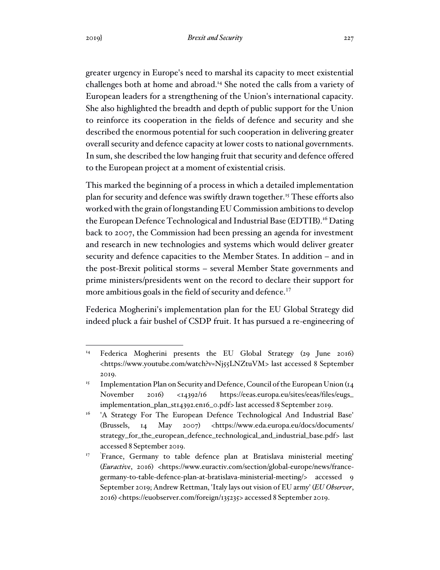greater urgency in Europe's need to marshal its capacity to meet existential challenges both at home and abroad.<sup>14</sup> She noted the calls from a variety of European leaders for a strengthening of the Union's international capacity. She also highlighted the breadth and depth of public support for the Union to reinforce its cooperation in the fields of defence and security and she described the enormous potential for such cooperation in delivering greater overall security and defence capacity at lower costs to national governments. In sum, she described the low hanging fruit that security and defence offered to the European project at a moment of existential crisis.

This marked the beginning of a process in which a detailed implementation plan for security and defence was swiftly drawn together.<sup>15</sup> These efforts also worked with the grain of longstanding EU Commission ambitions to develop the European Defence Technological and Industrial Base (EDTIB).<sup>16</sup> Dating back to 2007, the Commission had been pressing an agenda for investment and research in new technologies and systems which would deliver greater security and defence capacities to the Member States. In addition – and in the post-Brexit political storms – several Member State governments and prime ministers/presidents went on the record to declare their support for more ambitious goals in the field of security and defence.<sup>17</sup>

Federica Mogherini's implementation plan for the EU Global Strategy did indeed pluck a fair bushel of CSDP fruit. It has pursued a re-engineering of

<sup>&</sup>lt;sup>14</sup> Federica Mogherini presents the EU Global Strategy (29 June 2016) <https://www.youtube.com/watch?v=Nj55LNZtuVM> last accessed 8 September 2019.

<sup>&</sup>lt;sup>15</sup> Implementation Plan on Security and Defence, Council of the European Union ( $14$ ) November 2016) <14392/16 https://eeas.europa.eu/sites/eeas/files/eugs\_ implementation\_plan\_st14392.en16\_0.pdf> last accessed 8 September 2019.

<sup>&</sup>lt;sup>16</sup> 'A Strategy For The European Defence Technological And Industrial Base' (Brussels, 14 May 2007) <https://www.eda.europa.eu/docs/documents/ strategy\_for\_the\_european\_defence\_technological\_and\_industrial\_base.pdf> last accessed 8 September 2019.

<sup>&</sup>lt;sup>17</sup> 'France, Germany to table defence plan at Bratislava ministerial meeting' (*Euractive*, 2016) <https://www.euractiv.com/section/global-europe/news/francegermany-to-table-defence-plan-at-bratislava-ministerial-meeting/> accessed 9 September 2019; Andrew Rettman, 'Italy lays out vision of EU army' (*EU Observer*, 2016) <https://euobserver.com/foreign/135235> accessed 8 September 2019.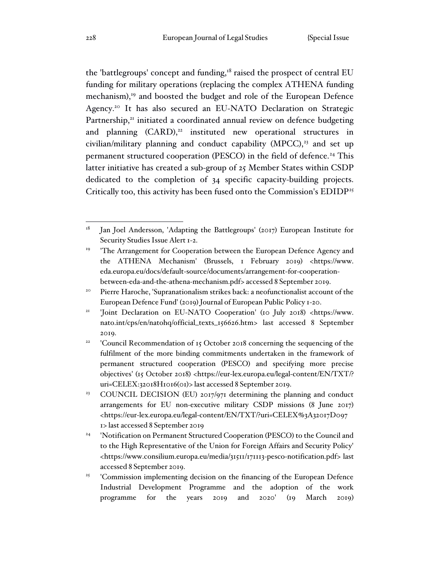the 'battlegroups' concept and funding,<sup>18</sup> raised the prospect of central EU funding for military operations (replacing the complex ATHENA funding mechanism),<sup>19</sup> and boosted the budget and role of the European Defence Agency.<sup>20</sup> It has also secured an EU-NATO Declaration on Strategic Partnership,<sup>21</sup> initiated a coordinated annual review on defence budgeting and planning  $(CARD)^{22}$  instituted new operational structures in civilian/military planning and conduct capability (MPCC), $23$  and set up permanent structured cooperation (PESCO) in the field of defence.<sup>24</sup> This latter initiative has created a sub-group of 25 Member States within CSDP dedicated to the completion of 34 specific capacity-building projects. Critically too, this activity has been fused onto the Commission's EDIDP<sup>25</sup>

<sup>&</sup>lt;sup>18</sup> Jan Joel Andersson, 'Adapting the Battlegroups' (2017) European Institute for Security Studies Issue Alert 1-2.

<sup>&</sup>lt;sup>19</sup> 'The Arrangement for Cooperation between the European Defence Agency and the ATHENA Mechanism' (Brussels, 1 February 2019) <https://www. eda.europa.eu/docs/default-source/documents/arrangement-for-cooperationbetween-eda-and-the-athena-mechanism.pdf> accessed 8 September 2019.

<sup>20</sup> Pierre Haroche, 'Supranationalism strikes back: a neofunctionalist account of the European Defence Fund' (2019) Journal of European Public Policy 1-20.

<sup>&</sup>lt;sup>21</sup> 'Joint Declaration on EU-NATO Cooperation' (10 July 2018) <https://www. nato.int/cps/en/natohq/official\_texts\_156626.htm> last accessed 8 September 2019.

<sup>22</sup> 'Council Recommendation of 15 October 2018 concerning the sequencing of the fulfilment of the more binding commitments undertaken in the framework of permanent structured cooperation (PESCO) and specifying more precise objectives' (15 October 2018) <https://eur-lex.europa.eu/legal-content/EN/TXT/? uri=CELEX:32018H1016(01)> last accessed 8 September 2019.

<sup>&</sup>lt;sup>23</sup> COUNCIL DECISION (EU) 2017/971 determining the planning and conduct arrangements for EU non-executive military CSDP missions (8 June 2017) <https://eur-lex.europa.eu/legal-content/EN/TXT/?uri=CELEX%3A32017D097 1> last accessed 8 September 2019

<sup>24</sup> 'Notification on Permanent Structured Cooperation (PESCO) to the Council and to the High Representative of the Union for Foreign Affairs and Security Policy' <https://www.consilium.europa.eu/media/31511/171113-pesco-notification.pdf> last accessed 8 September 2019.

<sup>&</sup>lt;sup>25</sup> 'Commission implementing decision on the financing of the European Defence Industrial Development Programme and the adoption of the work programme for the years 2019 and 2020' (19 March 2019)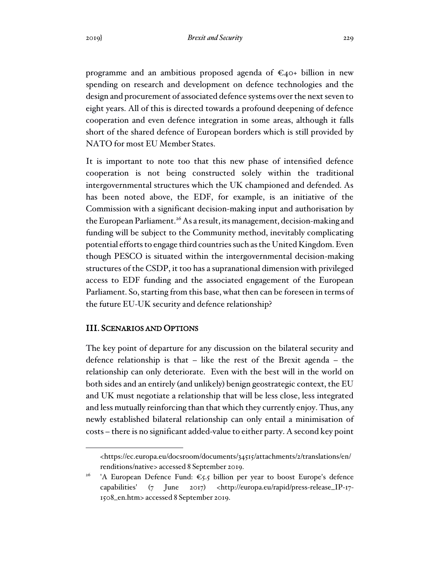programme and an ambitious proposed agenda of  $\epsilon_{40+}$  billion in new spending on research and development on defence technologies and the design and procurement of associated defence systems over the next seven to eight years. All of this is directed towards a profound deepening of defence cooperation and even defence integration in some areas, although it falls short of the shared defence of European borders which is still provided by NATO for most EU Member States.

It is important to note too that this new phase of intensified defence cooperation is not being constructed solely within the traditional intergovernmental structures which the UK championed and defended. As has been noted above, the EDF, for example, is an initiative of the Commission with a significant decision-making input and authorisation by the European Parliament.<sup>26</sup> As a result, its management, decision-making and funding will be subject to the Community method, inevitably complicating potential efforts to engage third countries such as the United Kingdom. Even though PESCO is situated within the intergovernmental decision-making structures of the CSDP, it too has a supranational dimension with privileged access to EDF funding and the associated engagement of the European Parliament. So, starting from this base, what then can be foreseen in terms of the future EU-UK security and defence relationship?

## III. SCENARIOS AND OPTIONS

The key point of departure for any discussion on the bilateral security and defence relationship is that – like the rest of the Brexit agenda – the relationship can only deteriorate. Even with the best will in the world on both sides and an entirely (and unlikely) benign geostrategic context, the EU and UK must negotiate a relationship that will be less close, less integrated and less mutually reinforcing than that which they currently enjoy. Thus, any newly established bilateral relationship can only entail a minimisation of costs – there is no significant added-value to either party. A second key point

<sup>&</sup>lt;https://ec.europa.eu/docsroom/documents/34515/attachments/2/translations/en/ renditions/native> accessed 8 September 2019.

<sup>&</sup>lt;sup>26</sup> 'A European Defence Fund:  $\epsilon$ 5.5 billion per year to boost Europe's defence capabilities' (7 June 2017) <http://europa.eu/rapid/press-release\_IP-17- 1508\_en.htm> accessed 8 September 2019.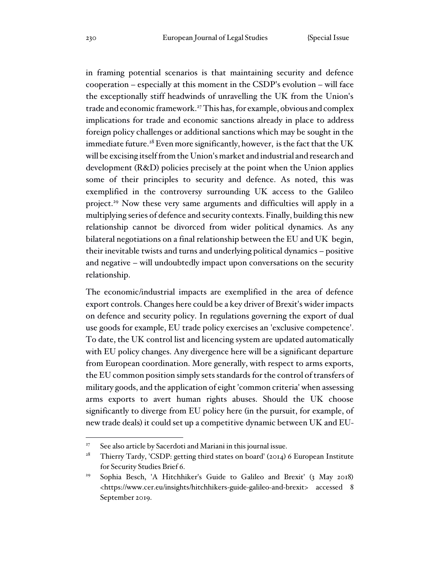in framing potential scenarios is that maintaining security and defence cooperation – especially at this moment in the CSDP's evolution – will face the exceptionally stiff headwinds of unravelling the UK from the Union's trade and economic framework.<sup>27</sup> This has, for example, obvious and complex implications for trade and economic sanctions already in place to address foreign policy challenges or additional sanctions which may be sought in the immediate future.<sup>28</sup> Even more significantly, however, is the fact that the UK will be excising itself from the Union's market and industrial and research and development (R&D) policies precisely at the point when the Union applies some of their principles to security and defence. As noted, this was exemplified in the controversy surrounding UK access to the Galileo project.<sup>29</sup> Now these very same arguments and difficulties will apply in a multiplying series of defence and security contexts. Finally, building this new relationship cannot be divorced from wider political dynamics. As any bilateral negotiations on a final relationship between the EU and UK begin, their inevitable twists and turns and underlying political dynamics – positive and negative – will undoubtedly impact upon conversations on the security relationship.

The economic/industrial impacts are exemplified in the area of defence export controls. Changes here could be a key driver of Brexit's wider impacts on defence and security policy. In regulations governing the export of dual use goods for example, EU trade policy exercises an 'exclusive competence'. To date, the UK control list and licencing system are updated automatically with EU policy changes. Any divergence here will be a significant departure from European coordination. More generally, with respect to arms exports, the EU common position simply sets standards for the control of transfers of military goods, and the application of eight 'common criteria' when assessing arms exports to avert human rights abuses. Should the UK choose significantly to diverge from EU policy here (in the pursuit, for example, of new trade deals) it could set up a competitive dynamic between UK and EU-

<sup>&</sup>lt;sup>27</sup> See also article by Sacerdoti and Mariani in this journal issue.

<sup>&</sup>lt;sup>28</sup> Thierry Tardy, 'CSDP: getting third states on board' (2014) 6 European Institute for Security Studies Brief 6.

<sup>&</sup>lt;sup>29</sup> Sophia Besch, 'A Hitchhiker's Guide to Galileo and Brexit' (3 May 2018) <https://www.cer.eu/insights/hitchhikers-guide-galileo-and-brexit> accessed 8 September 2019.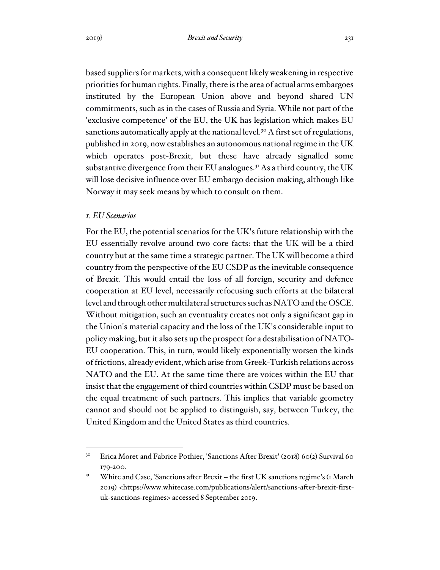based suppliers for markets, with a consequent likely weakening in respective priorities for human rights. Finally, there is the area of actual arms embargoes instituted by the European Union above and beyond shared UN commitments, such as in the cases of Russia and Syria. While not part of the 'exclusive competence' of the EU, the UK has legislation which makes EU sanctions automatically apply at the national level.<sup>30</sup> A first set of regulations, published in 2019, now establishes an autonomous national regime in the UK which operates post-Brexit, but these have already signalled some substantive divergence from their EU analogues.<sup>31</sup> As a third country, the UK will lose decisive influence over EU embargo decision making, although like Norway it may seek means by which to consult on them.

## *1. EU Scenarios*

For the EU, the potential scenarios for the UK's future relationship with the EU essentially revolve around two core facts: that the UK will be a third country but at the same time a strategic partner. The UK will become a third country from the perspective of the EU CSDP as the inevitable consequence of Brexit. This would entail the loss of all foreign, security and defence cooperation at EU level, necessarily refocusing such efforts at the bilateral level and through other multilateral structures such as NATO and the OSCE. Without mitigation, such an eventuality creates not only a significant gap in the Union's material capacity and the loss of the UK's considerable input to policy making, but it also sets up the prospect for a destabilisation of NATO-EU cooperation. This, in turn, would likely exponentially worsen the kinds of frictions, already evident, which arise from Greek-Turkish relations across NATO and the EU. At the same time there are voices within the EU that insist that the engagement of third countries within CSDP must be based on the equal treatment of such partners. This implies that variable geometry cannot and should not be applied to distinguish, say, between Turkey, the United Kingdom and the United States as third countries.

<sup>&</sup>lt;sup>30</sup> Erica Moret and Fabrice Pothier, 'Sanctions After Brexit' (2018) 60(2) Survival 60 179-200.

<sup>&</sup>lt;sup>31</sup> White and Case, 'Sanctions after Brexit – the first UK sanctions regime's (1 March 2019) <https://www.whitecase.com/publications/alert/sanctions-after-brexit-firstuk-sanctions-regimes> accessed 8 September 2019.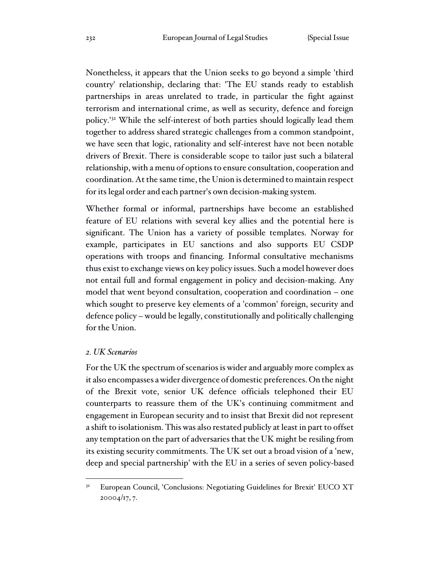Nonetheless, it appears that the Union seeks to go beyond a simple 'third country' relationship, declaring that: 'The EU stands ready to establish partnerships in areas unrelated to trade, in particular the fight against terrorism and international crime, as well as security, defence and foreign policy.'<sup>32</sup> While the self-interest of both parties should logically lead them together to address shared strategic challenges from a common standpoint, we have seen that logic, rationality and self-interest have not been notable drivers of Brexit. There is considerable scope to tailor just such a bilateral relationship, with a menu of options to ensure consultation, cooperation and coordination. At the same time, the Union is determined to maintain respect for its legal order and each partner's own decision-making system.

Whether formal or informal, partnerships have become an established feature of EU relations with several key allies and the potential here is significant. The Union has a variety of possible templates. Norway for example, participates in EU sanctions and also supports EU CSDP operations with troops and financing. Informal consultative mechanisms thus exist to exchange views on key policy issues. Such a model however does not entail full and formal engagement in policy and decision-making. Any model that went beyond consultation, cooperation and coordination – one which sought to preserve key elements of a 'common' foreign, security and defence policy – would be legally, constitutionally and politically challenging for the Union.

#### *2. UK Scenarios*

For the UK the spectrum of scenarios is wider and arguably more complex as it also encompasses a wider divergence of domestic preferences. On the night of the Brexit vote, senior UK defence officials telephoned their EU counterparts to reassure them of the UK's continuing commitment and engagement in European security and to insist that Brexit did not represent a shift to isolationism. This was also restated publicly at least in part to offset any temptation on the part of adversaries that the UK might be resiling from its existing security commitments. The UK set out a broad vision of a 'new, deep and special partnership' with the EU in a series of seven policy-based

<sup>32</sup> European Council, 'Conclusions: Negotiating Guidelines for Brexit' EUCO XT 20004/17, 7.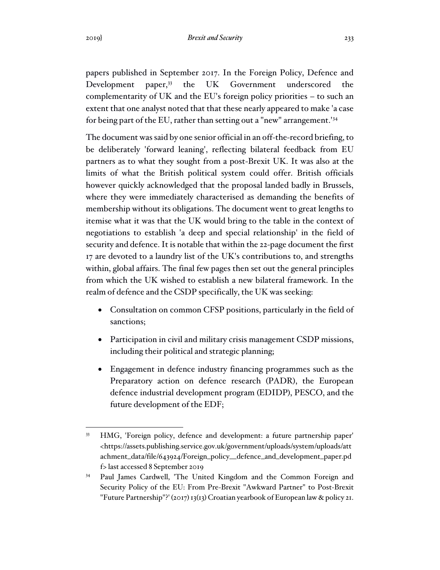papers published in September 2017. In the Foreign Policy, Defence and Development paper,<sup>33</sup> the UK Government underscored the complementarity of UK and the EU's foreign policy priorities – to such an extent that one analyst noted that that these nearly appeared to make 'a case for being part of the EU, rather than setting out a "new" arrangement.'<sup>34</sup>

The document was said by one senior official in an off-the-record briefing, to be deliberately 'forward leaning', reflecting bilateral feedback from EU partners as to what they sought from a post-Brexit UK. It was also at the limits of what the British political system could offer. British officials however quickly acknowledged that the proposal landed badly in Brussels, where they were immediately characterised as demanding the benefits of membership without its obligations. The document went to great lengths to itemise what it was that the UK would bring to the table in the context of negotiations to establish 'a deep and special relationship' in the field of security and defence. It is notable that within the 22-page document the first 17 are devoted to a laundry list of the UK's contributions to, and strengths within, global affairs. The final few pages then set out the general principles from which the UK wished to establish a new bilateral framework. In the realm of defence and the CSDP specifically, the UK was seeking:

- Consultation on common CFSP positions, particularly in the field of sanctions;
- Participation in civil and military crisis management CSDP missions, including their political and strategic planning;
- Engagement in defence industry financing programmes such as the Preparatory action on defence research (PADR), the European defence industrial development program (EDIDP), PESCO, and the future development of the EDF;

<sup>33</sup> HMG, 'Foreign policy, defence and development: a future partnership paper' <https://assets.publishing.service.gov.uk/government/uploads/system/uploads/att achment\_data/file/643924/Foreign\_policy\_\_defence\_and\_development\_paper.pd f> last accessed 8 September 2019

<sup>34</sup> Paul James Cardwell, 'The United Kingdom and the Common Foreign and Security Policy of the EU: From Pre-Brexit "Awkward Partner" to Post-Brexit "Future Partnership"?' (2017) 13(13) Croatian yearbook of European law & policy 21.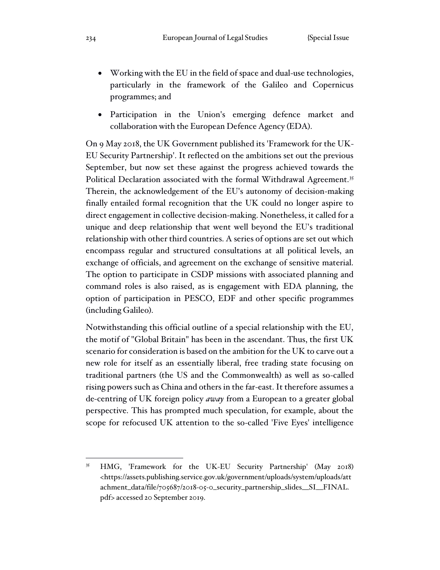- Working with the EU in the field of space and dual-use technologies, particularly in the framework of the Galileo and Copernicus programmes; and
- Participation in the Union's emerging defence market and collaboration with the European Defence Agency (EDA).

On 9 May 2018, the UK Government published its 'Framework for the UK-EU Security Partnership'. It reflected on the ambitions set out the previous September, but now set these against the progress achieved towards the Political Declaration associated with the formal Withdrawal Agreement.<sup>35</sup> Therein, the acknowledgement of the EU's autonomy of decision-making finally entailed formal recognition that the UK could no longer aspire to direct engagement in collective decision-making. Nonetheless, it called for a unique and deep relationship that went well beyond the EU's traditional relationship with other third countries. A series of options are set out which encompass regular and structured consultations at all political levels, an exchange of officials, and agreement on the exchange of sensitive material. The option to participate in CSDP missions with associated planning and command roles is also raised, as is engagement with EDA planning, the option of participation in PESCO, EDF and other specific programmes (including Galileo).

Notwithstanding this official outline of a special relationship with the EU, the motif of "Global Britain" has been in the ascendant. Thus, the first UK scenario for consideration is based on the ambition for the UK to carve out a new role for itself as an essentially liberal, free trading state focusing on traditional partners (the US and the Commonwealth) as well as so-called rising powers such as China and others in the far-east. It therefore assumes a de-centring of UK foreign policy *away* from a European to a greater global perspective. This has prompted much speculation, for example, about the scope for refocused UK attention to the so-called 'Five Eyes' intelligence

<sup>35</sup> HMG, 'Framework for the UK-EU Security Partnership' (May 2018) <https://assets.publishing.service.gov.uk/government/uploads/system/uploads/att achment\_data/file/705687/2018-05-0\_security\_partnership\_slides\_\_SI\_\_FINAL. pdf> accessed 20 September 2019.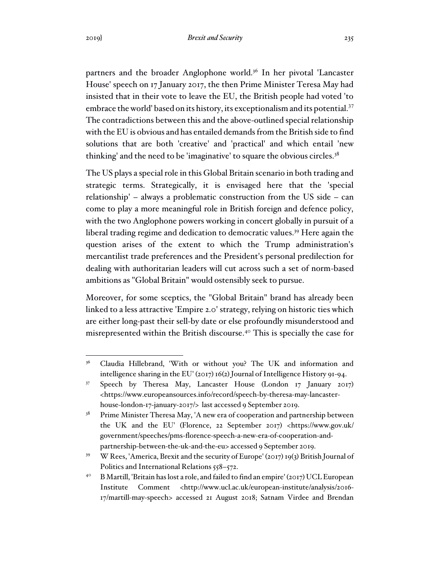partners and the broader Anglophone world.<sup>36</sup> In her pivotal 'Lancaster House' speech on 17 January 2017, the then Prime Minister Teresa May had insisted that in their vote to leave the EU, the British people had voted 'to embrace the world' based on its history, its exceptionalism and its potential.<sup>37</sup> The contradictions between this and the above-outlined special relationship with the EU is obvious and has entailed demands from the British side to find solutions that are both 'creative' and 'practical' and which entail 'new thinking' and the need to be 'imaginative' to square the obvious circles. $3<sup>8</sup>$ 

The US plays a special role in this Global Britain scenario in both trading and strategic terms. Strategically, it is envisaged here that the 'special relationship' – always a problematic construction from the US side – can come to play a more meaningful role in British foreign and defence policy, with the two Anglophone powers working in concert globally in pursuit of a liberal trading regime and dedication to democratic values.<sup>39</sup> Here again the question arises of the extent to which the Trump administration's mercantilist trade preferences and the President's personal predilection for dealing with authoritarian leaders will cut across such a set of norm-based ambitions as "Global Britain" would ostensibly seek to pursue.

Moreover, for some sceptics, the "Global Britain" brand has already been linked to a less attractive 'Empire 2.0' strategy, relying on historic ties which are either long-past their sell-by date or else profoundly misunderstood and misrepresented within the British discourse.<sup>40</sup> This is specially the case for

<sup>&</sup>lt;sup>36</sup> Claudia Hillebrand, 'With or without you? The UK and information and intelligence sharing in the EU' (2017) 16(2) Journal of Intelligence History 91-94.

<sup>37</sup> Speech by Theresa May, Lancaster House (London 17 January 2017) <https://www.europeansources.info/record/speech-by-theresa-may-lancasterhouse-london-17-january-2017/> last accessed 9 September 2019.

 $38$  Prime Minister Theresa May, 'A new era of cooperation and partnership between the UK and the EU' (Florence, 22 September 2017) <https://www.gov.uk/ government/speeches/pms-florence-speech-a-new-era-of-cooperation-andpartnership-between-the-uk-and-the-eu> accessed 9 September 2019.

<sup>&</sup>lt;sup>39</sup> W Rees, 'America, Brexit and the security of Europe' (2017) 19(3) British Journal of Politics and International Relations 558-572.

<sup>&</sup>lt;sup>40</sup> B Martill, 'Britain has lost a role, and failed to find an empire' (2017) UCL European Institute Comment <http://www.ucl.ac.uk/european-institute/analysis/2016- 17/martill-may-speech> accessed 21 August 2018; Satnam Virdee and Brendan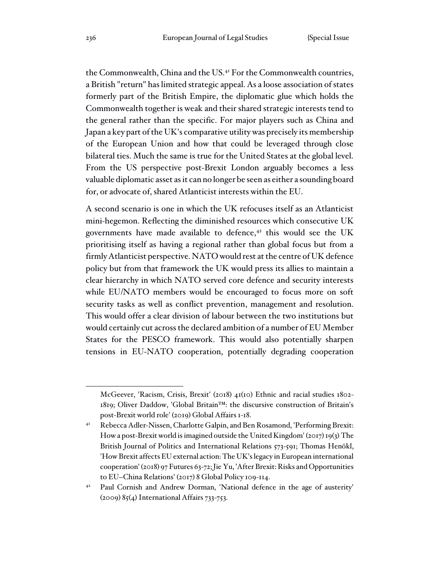the Commonwealth, China and the US.<sup>41</sup> For the Commonwealth countries, a British "return" has limited strategic appeal. As a loose association of states formerly part of the British Empire, the diplomatic glue which holds the Commonwealth together is weak and their shared strategic interests tend to the general rather than the specific. For major players such as China and Japan a key part of the UK's comparative utility was precisely its membership of the European Union and how that could be leveraged through close bilateral ties. Much the same is true for the United States at the global level. From the US perspective post-Brexit London arguably becomes a less valuable diplomatic asset as it can no longer be seen as either a sounding board for, or advocate of, shared Atlanticist interests within the EU.

A second scenario is one in which the UK refocuses itself as an Atlanticist mini-hegemon. Reflecting the diminished resources which consecutive UK governments have made available to defence,<sup>42</sup> this would see the UK prioritising itself as having a regional rather than global focus but from a firmly Atlanticist perspective. NATO would rest at the centre of UK defence policy but from that framework the UK would press its allies to maintain a clear hierarchy in which NATO served core defence and security interests while EU/NATO members would be encouraged to focus more on soft security tasks as well as conflict prevention, management and resolution. This would offer a clear division of labour between the two institutions but would certainly cut across the declared ambition of a number of EU Member States for the PESCO framework. This would also potentially sharpen tensions in EU-NATO cooperation, potentially degrading cooperation

McGeever, 'Racism, Crisis, Brexit' (2018) 41(10) Ethnic and racial studies 1802- 1819; Oliver Daddow, 'Global Britain™: the discursive construction of Britain's post-Brexit world role' (2019) Global Affairs 1-18.

<sup>41</sup> Rebecca Adler-Nissen, Charlotte Galpin, and Ben Rosamond, 'Performing Brexit: How a post-Brexit world is imagined outside the United Kingdom' (2017) 19(3) The British Journal of Politics and International Relations 573-591; Thomas Henökl, 'How Brexit affects EU external action: The UK's legacy in European international cooperation' (2018) 97 Futures 63-72;Jie Yu, 'After Brexit: Risks and Opportunities to EU–China Relations' (2017) 8 Global Policy 109-114.

<sup>42</sup> Paul Cornish and Andrew Dorman, 'National defence in the age of austerity' (2009) 85(4) International Affairs 733-753.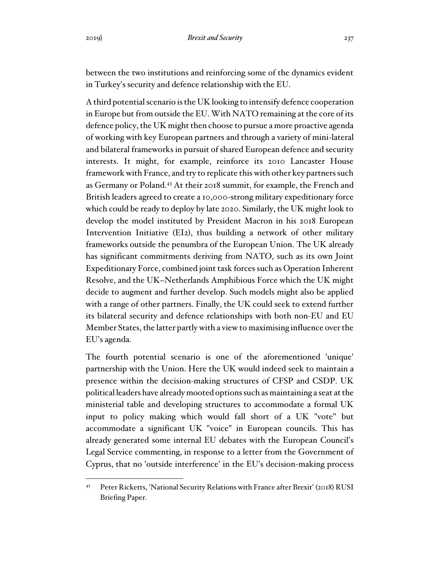between the two institutions and reinforcing some of the dynamics evident in Turkey's security and defence relationship with the EU.

A third potential scenario is the UK looking to intensify defence cooperation in Europe but from outside the EU. With NATO remaining at the core of its defence policy, the UK might then choose to pursue a more proactive agenda of working with key European partners and through a variety of mini-lateral and bilateral frameworks in pursuit of shared European defence and security interests. It might, for example, reinforce its 2010 Lancaster House framework with France, and try to replicate this with other key partners such as Germany or Poland.<sup>43</sup> At their 2018 summit, for example, the French and British leaders agreed to create a 10,000-strong military expeditionary force which could be ready to deploy by late 2020. Similarly, the UK might look to develop the model instituted by President Macron in his 2018 European Intervention Initiative (EI2), thus building a network of other military frameworks outside the penumbra of the European Union. The UK already has significant commitments deriving from NATO, such as its own Joint Expeditionary Force, combined joint task forces such as Operation Inherent Resolve, and the UK–Netherlands Amphibious Force which the UK might decide to augment and further develop. Such models might also be applied with a range of other partners. Finally, the UK could seek to extend further its bilateral security and defence relationships with both non-EU and EU Member States, the latter partly with a view to maximising influence over the EU's agenda.

The fourth potential scenario is one of the aforementioned 'unique' partnership with the Union. Here the UK would indeed seek to maintain a presence within the decision-making structures of CFSP and CSDP. UK political leaders have already mooted options such as maintaining a seat at the ministerial table and developing structures to accommodate a formal UK input to policy making which would fall short of a UK "vote" but accommodate a significant UK "voice" in European councils. This has already generated some internal EU debates with the European Council's Legal Service commenting, in response to a letter from the Government of Cyprus, that no 'outside interference' in the EU's decision-making process

Peter Ricketts, 'National Security Relations with France after Brexit' (2018) RUSI Briefing Paper.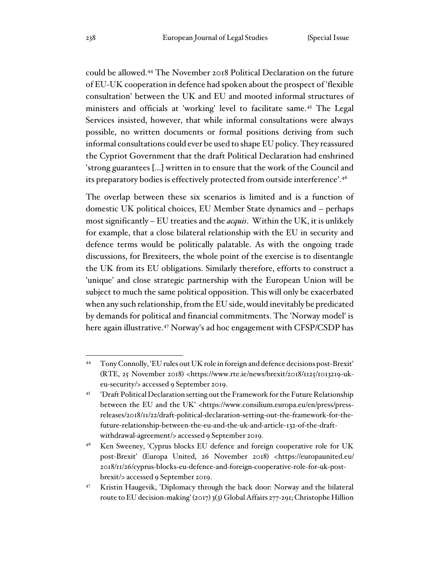could be allowed.<sup>44</sup> The November 2018 Political Declaration on the future of EU-UK cooperation in defence had spoken about the prospect of 'flexible consultation' between the UK and EU and mooted informal structures of ministers and officials at 'working' level to facilitate same.<sup>45</sup> The Legal Services insisted, however, that while informal consultations were always possible, no written documents or formal positions deriving from such informal consultations could ever be used to shape EU policy. They reassured the Cypriot Government that the draft Political Declaration had enshrined 'strong guarantees [...] written in to ensure that the work of the Council and its preparatory bodies is effectively protected from outside interference'.<sup>46</sup>

The overlap between these six scenarios is limited and is a function of domestic UK political choices, EU Member State dynamics and – perhaps most significantly – EU treaties and the *acquis*. Within the UK, it is unlikely for example, that a close bilateral relationship with the EU in security and defence terms would be politically palatable. As with the ongoing trade discussions, for Brexiteers, the whole point of the exercise is to disentangle the UK from its EU obligations. Similarly therefore, efforts to construct a 'unique' and close strategic partnership with the European Union will be subject to much the same political opposition. This will only be exacerbated when any such relationship, from the EU side, would inevitably be predicated by demands for political and financial commitments. The 'Norway model' is here again illustrative. <sup>47</sup> Norway's ad hoc engagement with CFSP/CSDP has

<sup>44</sup> Tony Connolly, 'EU rules out UK role in foreign and defence decisions post-Brexit' (RTE, 25 November 2018) <https://www.rte.ie/news/brexit/2018/1125/1013219-ukeu-security/> accessed 9 September 2019.

<sup>&</sup>lt;sup>45</sup> 'Draft Political Declaration setting out the Framework for the Future Relationship between the EU and the UK' <https://www.consilium.europa.eu/en/press/pressreleases/2018/11/22/draft-political-declaration-setting-out-the-framework-for-thefuture-relationship-between-the-eu-and-the-uk-and-article-132-of-the-draftwithdrawal-agreement/> accessed 9 September 2019.

<sup>&</sup>lt;sup>46</sup> Ken Sweeney, 'Cyprus blocks EU defence and foreign cooperative role for UK post-Brexit' (Europa United, 26 November 2018) <https://europaunited.eu/ 2018/11/26/cyprus-blocks-eu-defence-and-foreign-cooperative-role-for-uk-postbrexit/> accessed 9 September 2019.

<sup>47</sup> Kristin Haugevik, 'Diplomacy through the back door: Norway and the bilateral route to EU decision-making' (2017) 3(3) Global Affairs 277-291; Christophe Hillion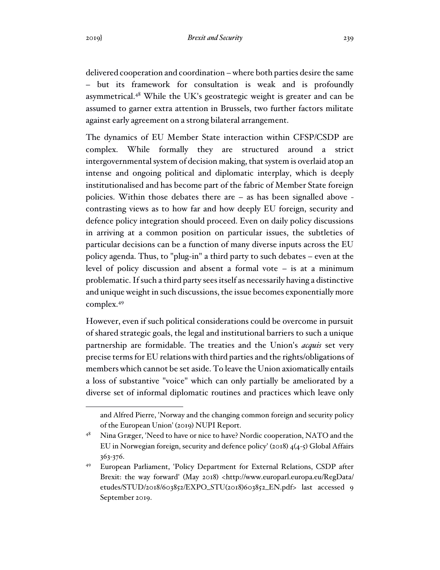delivered cooperation and coordination – where both parties desire the same – but its framework for consultation is weak and is profoundly asymmetrical.<sup>48</sup> While the UK's geostrategic weight is greater and can be assumed to garner extra attention in Brussels, two further factors militate against early agreement on a strong bilateral arrangement.

The dynamics of EU Member State interaction within CFSP/CSDP are complex. While formally they are structured around a strict intergovernmental system of decision making, that system is overlaid atop an intense and ongoing political and diplomatic interplay, which is deeply institutionalised and has become part of the fabric of Member State foreign policies. Within those debates there are – as has been signalled above contrasting views as to how far and how deeply EU foreign, security and defence policy integration should proceed. Even on daily policy discussions in arriving at a common position on particular issues, the subtleties of particular decisions can be a function of many diverse inputs across the EU policy agenda. Thus, to "plug-in" a third party to such debates – even at the level of policy discussion and absent a formal vote – is at a minimum problematic. If such a third party sees itself as necessarily having a distinctive and unique weight in such discussions, the issue becomes exponentially more complex.<sup>49</sup>

However, even if such political considerations could be overcome in pursuit of shared strategic goals, the legal and institutional barriers to such a unique partnership are formidable. The treaties and the Union's *acquis* set very precise terms for EU relations with third parties and the rights/obligations of members which cannot be set aside. To leave the Union axiomatically entails a loss of substantive "voice" which can only partially be ameliorated by a diverse set of informal diplomatic routines and practices which leave only

and Alfred Pierre, 'Norway and the changing common foreign and security policy of the European Union' (2019) NUPI Report.

<sup>&</sup>lt;sup>48</sup> Nina Græger, 'Need to have or nice to have? Nordic cooperation, NATO and the EU in Norwegian foreign, security and defence policy' (2018) 4(4-5) Global Affairs 363-376.

<sup>49</sup> European Parliament, 'Policy Department for External Relations, CSDP after Brexit: the way forward' (May 2018) <http://www.europarl.europa.eu/RegData/ etudes/STUD/2018/603852/EXPO\_STU(2018)603852\_EN.pdf> last accessed 9 September 2019.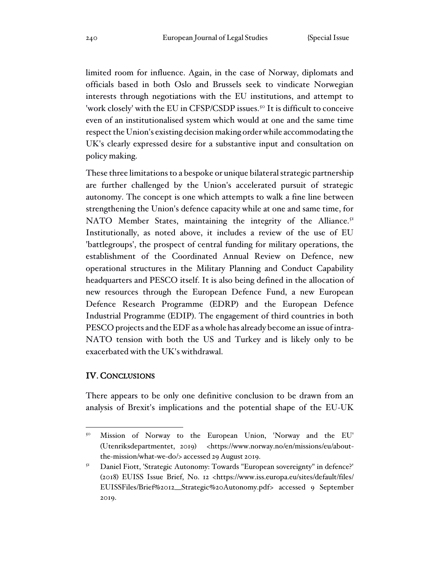limited room for influence. Again, in the case of Norway, diplomats and officials based in both Oslo and Brussels seek to vindicate Norwegian interests through negotiations with the EU institutions, and attempt to 'work closely' with the EU in CFSP/CSDP issues.<sup>50</sup> It is difficult to conceive even of an institutionalised system which would at one and the same time respect the Union's existing decision making order while accommodating the UK's clearly expressed desire for a substantive input and consultation on policy making.

These three limitations to a bespoke or unique bilateral strategic partnership are further challenged by the Union's accelerated pursuit of strategic autonomy. The concept is one which attempts to walk a fine line between strengthening the Union's defence capacity while at one and same time, for NATO Member States, maintaining the integrity of the Alliance.<sup>51</sup> Institutionally, as noted above, it includes a review of the use of EU 'battlegroups', the prospect of central funding for military operations, the establishment of the Coordinated Annual Review on Defence, new operational structures in the Military Planning and Conduct Capability headquarters and PESCO itself. It is also being defined in the allocation of new resources through the European Defence Fund, a new European Defence Research Programme (EDRP) and the European Defence Industrial Programme (EDIP). The engagement of third countries in both PESCO projects and the EDF as a whole has already become an issue of intra-NATO tension with both the US and Turkey and is likely only to be exacerbated with the UK's withdrawal.

## IV. CONCLUSIONS

There appears to be only one definitive conclusion to be drawn from an analysis of Brexit's implications and the potential shape of the EU-UK

<sup>50</sup> Mission of Norway to the European Union, 'Norway and the EU' (Utenriksdepartmentet, 2019) <https://www.norway.no/en/missions/eu/aboutthe-mission/what-we-do/> accessed 29 August 2019.

<sup>&</sup>lt;sup>51</sup> Daniel Fiott, 'Strategic Autonomy: Towards "European sovereignty" in defence?' (2018) EUISS Issue Brief, No. 12 <https://www.iss.europa.eu/sites/default/files/ EUISSFiles/Brief%2012\_\_Strategic%20Autonomy.pdf> accessed 9 September 2019.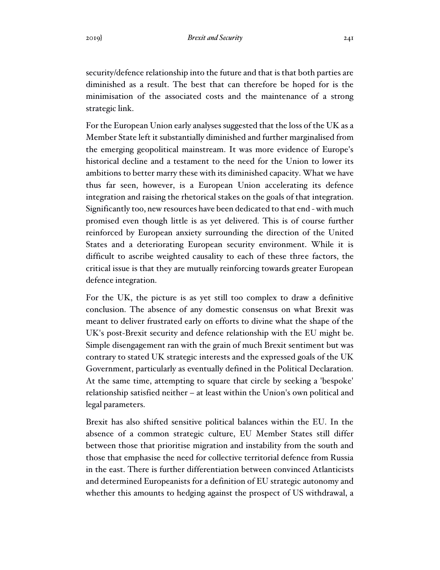security/defence relationship into the future and that is that both parties are diminished as a result. The best that can therefore be hoped for is the minimisation of the associated costs and the maintenance of a strong strategic link.

For the European Union early analyses suggested that the loss of the UK as a Member State left it substantially diminished and further marginalised from the emerging geopolitical mainstream. It was more evidence of Europe's historical decline and a testament to the need for the Union to lower its ambitions to better marry these with its diminished capacity. What we have thus far seen, however, is a European Union accelerating its defence integration and raising the rhetorical stakes on the goals of that integration. Significantly too, new resources have been dedicated to that end - with much promised even though little is as yet delivered. This is of course further reinforced by European anxiety surrounding the direction of the United States and a deteriorating European security environment. While it is difficult to ascribe weighted causality to each of these three factors, the critical issue is that they are mutually reinforcing towards greater European defence integration.

For the UK, the picture is as yet still too complex to draw a definitive conclusion. The absence of any domestic consensus on what Brexit was meant to deliver frustrated early on efforts to divine what the shape of the UK's post-Brexit security and defence relationship with the EU might be. Simple disengagement ran with the grain of much Brexit sentiment but was contrary to stated UK strategic interests and the expressed goals of the UK Government, particularly as eventually defined in the Political Declaration. At the same time, attempting to square that circle by seeking a 'bespoke' relationship satisfied neither – at least within the Union's own political and legal parameters.

Brexit has also shifted sensitive political balances within the EU. In the absence of a common strategic culture, EU Member States still differ between those that prioritise migration and instability from the south and those that emphasise the need for collective territorial defence from Russia in the east. There is further differentiation between convinced Atlanticists and determined Europeanists for a definition of EU strategic autonomy and whether this amounts to hedging against the prospect of US withdrawal, a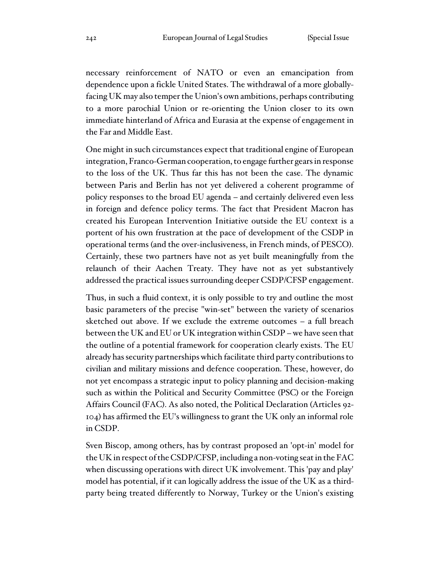necessary reinforcement of NATO or even an emancipation from dependence upon a fickle United States. The withdrawal of a more globallyfacing UK may also temper the Union's own ambitions, perhaps contributing to a more parochial Union or re-orienting the Union closer to its own immediate hinterland of Africa and Eurasia at the expense of engagement in the Far and Middle East.

One might in such circumstances expect that traditional engine of European integration, Franco-German cooperation, to engage further gears in response to the loss of the UK. Thus far this has not been the case. The dynamic between Paris and Berlin has not yet delivered a coherent programme of policy responses to the broad EU agenda – and certainly delivered even less in foreign and defence policy terms. The fact that President Macron has created his European Intervention Initiative outside the EU context is a portent of his own frustration at the pace of development of the CSDP in operational terms (and the over-inclusiveness, in French minds, of PESCO). Certainly, these two partners have not as yet built meaningfully from the relaunch of their Aachen Treaty. They have not as yet substantively addressed the practical issues surrounding deeper CSDP/CFSP engagement.

Thus, in such a fluid context, it is only possible to try and outline the most basic parameters of the precise "win-set" between the variety of scenarios sketched out above. If we exclude the extreme outcomes – a full breach between the UK and EU or UK integration within CSDP – we have seen that the outline of a potential framework for cooperation clearly exists. The EU already has security partnerships which facilitate third party contributions to civilian and military missions and defence cooperation. These, however, do not yet encompass a strategic input to policy planning and decision-making such as within the Political and Security Committee (PSC) or the Foreign Affairs Council (FAC). As also noted, the Political Declaration (Articles 92- 104) has affirmed the EU's willingness to grant the UK only an informal role in CSDP.

Sven Biscop, among others, has by contrast proposed an 'opt-in' model for the UK in respect of the CSDP/CFSP, including a non-voting seat in the FAC when discussing operations with direct UK involvement. This 'pay and play' model has potential, if it can logically address the issue of the UK as a thirdparty being treated differently to Norway, Turkey or the Union's existing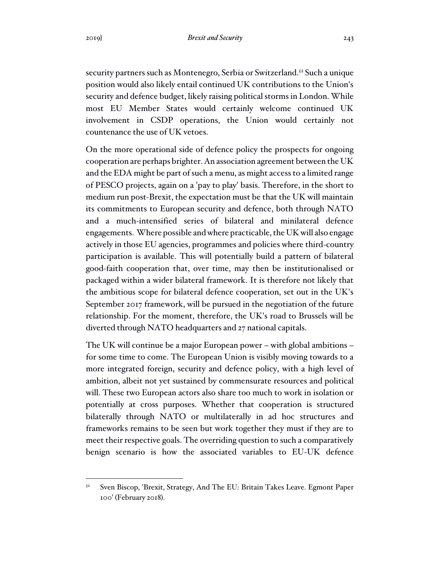security partners such as Montenegro, Serbia or Switzerland.<sup>52</sup> Such a unique position would also likely entail continued UK contributions to the Union's security and defence budget, likely raising political storms in London. While most EU Member States would certainly welcome continued UK involvement in CSDP operations, the Union would certainly not countenance the use of UK vetoes.

On the more operational side of defence policy the prospects for ongoing cooperation are perhaps brighter. An association agreement between the UK and the EDA might be part of such a menu, as might access to a limited range of PESCO projects, again on a 'pay to play' basis. Therefore, in the short to medium run post-Brexit, the expectation must be that the UK will maintain its commitments to European security and defence, both through NATO and a much-intensified series of bilateral and minilateral defence engagements. Where possible and where practicable, the UK will also engage actively in those EU agencies, programmes and policies where third-country participation is available. This will potentially build a pattern of bilateral good-faith cooperation that, over time, may then be institutionalised or packaged within a wider bilateral framework. It is therefore not likely that the ambitious scope for bilateral defence cooperation, set out in the UK's September 2017 framework, will be pursued in the negotiation of the future relationship. For the moment, therefore, the UK's road to Brussels will be diverted through NATO headquarters and 27 national capitals.

The UK will continue be a major European power – with global ambitions – for some time to come. The European Union is visibly moving towards to a more integrated foreign, security and defence policy, with a high level of ambition, albeit not yet sustained by commensurate resources and political will. These two European actors also share too much to work in isolation or potentially at cross purposes. Whether that cooperation is structured bilaterally through NATO or multilaterally in ad hoc structures and frameworks remains to be seen but work together they must if they are to meet their respective goals. The overriding question to such a comparatively benign scenario is how the associated variables to EU-UK defence

Sven Biscop, 'Brexit, Strategy, And The EU: Britain Takes Leave. Egmont Paper 100' (February 2018).